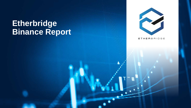# **Etherbridge Binance Report**



**ETHERBRIDGE**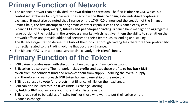# **Primary Function of Network**

- The Binance Network can be divided into **two distinct operations**. The first is **Binance CEX**, which is a centralised exchange for cryptoassets. The second is the **Binance Chain**, a decentralised cryptoasset exchange. It must also be noted that Binance on the 17/04/20 announced the creation of the Binance Smart Chain, the first attempt to bring smart contract capabilities to the Binance ecosystem.
- Binance CEX offers **spot, margin, futures and peer-to-peer trading**. Binance have managed to aggregate a large portion of the liquidity in the cryptoasset market which has given them the ability to strengthen their network effects and provide additional services to their clients such as lending and staking.
- The Binance organization derives the bulk of their income through trading fees therefore their profitability is directly related to the trading volume that occurs on Binance.
- The Binance CEX as an additional service also custody their client's funds.

## **Primary Function of the Token**

- BNB token provides users with **discounts** when trading on Binance's network.
- BNB token is also **burnt**. The network makes **profits** and uses these profits to **buy back BNB**  token from the founders fund and removes them from supply. Reducing the overall supply and therefore increasing each BNB token holders ownership of the network.
- BNB is also used to **vote for projects** that Binance will list on their exchange.
- BNB can also be used to **fund IEO's** (Initial Exchange Offering) .
- By **holding BNB** you increase your potential affiliate rewards.
- BNB is required to be paid as a "**listing fee**" for those who want to put their token on the Binance exchange.

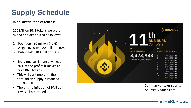# **Supply Schedule**

#### **Initial distribution of tokens:**

200 Million BNB tokens were pre mined and distributed as follows:

- 1. Founders: 80 million (40%)
- 2. Angel investors: 20 million (10%)
- 3. Public sale: 100 million (50%)
- Every quarter Binance will use 20% of the profits it makes to burn BNB tokens.
- This will continue until the total token supply is reduced to 100 million.
- There is no inflation of BNB as it was all pre -mined.



Summary of token burns Source: Binance.com

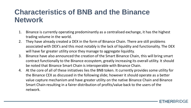### **Characteristics of BNB and the Binance Network**

- 1. Binance is currently operating predominantly as a centralised exchange, it has the highest trading volume in the world.
- 2. They have already created a DEX in the form of Binance Chain. There are still problems associated with DEX's and this most notably is the lack of liquidity and functionality. The DEX will have far greater utility once they manage to aggregate liquidity.
- 3. Binance have also announced the creation of the Smart Binance Chain, this will bring smart contract functionally to the Binance ecosystem, greatly increasing its overall utility. It should be noted that Binance Smart Chain is interoperable with Binance Chain.
- 4. At the core of all of these initiatives lies the BNB token. It currently provides some utility for the Binance CEX as discussed in the following slide; however it should operate as a better value capture mechanism and have greater utility on the native Binance Chain and Binance Smart Chain resulting in a fairer distribution of profits/value back to the users of the network.

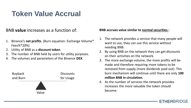# **Token Value Accrual**

### BNB **value** increases as a function of:

- 1. Binance's **net profits**. (Burn equation: Exchange Volume\* Fees%\*20%)
- 2. Utility of BNB as a **discount token**.
- 3. The number of BNB held by users for utility purposes.
- 4. The volumes and parameters of the Binance **DEX**.



### **BNB accrues value similar to normal securities :**

- 1. The network provides a service that many people will want to use, they can use this service without needing BNB.
- 2. By using BNB on the network they can get discounts on their activities on the network.
- 3. The more exchange volume, the more profits will be made and therefore requiring more tokens to be removed from supply (more dividends paid out). This burn mechanism will continue until there are only **100 million BNB in circulation.**
- 4. As the number of services the network provides increases the more valuable the token should become.

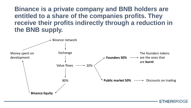**Binance is a private company and BNB holders are entitled to a share of the companies profits. They receive their profits indirectly through a reduction in the BNB supply.**



ETHERBRIDGE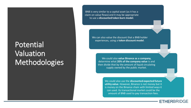# Potential Valuation Methodologies

BNB is very similar to a capital asset (as it has a claim on value flows) and it may be appropriate to use a **discounted token burn model**.

> We can also value the discount that a BNB holder experiences, using a **token discount model**.

> > We could also **value Binance as a company**, determine what **20% of the company value** is and then divide that by the amount of liquid circulating supply owned by the public market.

> > > We could also use the **discounted expected future utility value**. However, Binance is not money but it is money on the Binance chain with limited ways it can used. Its transactional market could be the amount of BNB used to pay transaction fees.

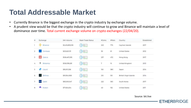### **Total Addressable Market**

- Currently Binance is the biggest exchange in the crypto industry by exchange volume.
- A prudent view would be that the crypto industry will continue to grow and Binance will maintain a level of dominance over time. Total current exchange volume on crypto exchanges (22/04/20).

| #                       | Exchange                                        | 24h Volume      | Wash Trade Status | #Coins | #Pairs | Country                | Established              |
|-------------------------|-------------------------------------------------|-----------------|-------------------|--------|--------|------------------------|--------------------------|
|                         | $\langle \hat{\mathbb{Q}}^n \rangle$<br>Binance | \$3,415,893,018 | <b>OBTI</b>       | 223    | 775    | Cayman Islands         | 2017                     |
| $\overline{\mathbf{2}}$ | Coinbase                                        | \$212,621,131   | <b>SBIL</b>       | 30     | 61     | <b>United States</b>   | 2012<br>sena             |
| 3                       | Gate.lo<br>Ø                                    | \$126,467,295   | <b>B.T.</b>       | 237    | 472    | Hong Kong              | 2017                     |
| 4                       | 풛<br>Bitstamp                                   | \$106,938,281   | <b>SBTI</b>       | 7      | 15     | United Kingdom         | 2013                     |
| 5                       | ø<br>Liquid                                     | \$95,911,358    | <b>SABTL</b>      | 150    | 380    | Japan                  | 2014                     |
| 6                       | 2<br>Bitfinex                                   | \$91,954,908    | <b>BETI</b>       | 210    | 551    | British Virgin Islands | 2014                     |
| 7                       | Upbit<br><b><i><u>AFTONE</u></i></b>            | \$83,050,547    | <b>SBT</b>        | 222    | 363    | South Korea            | 2017                     |
| 8                       | Kraken<br><b>GTD</b>                            | \$71,924,614    | <b>SBT</b>        | 40     | 152    | <b>United States</b>   | <b>USS ESSEN</b><br>2011 |

Source: bti.live

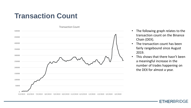### **Transaction Count**



- The following graph relates to the transaction count on the Binance Chain (DEX).
- The transaction count has been fairly rangebound since August 2019.
- This shows that there hasn't been a meaningful increase in the number of trades happening on the DEX for almost a year.

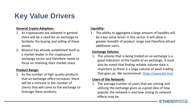# **Key Value Drivers**

#### **General Crypto Adoption:**

- 1. As cryptoassets are adopted in general there will be a need for an exchange to facilitate the buying and selling of these assets.
- 2. Binance has already established itself as a market leader in the cryptoasset exchange sector and therefore needs to focus on retaining their market share.

#### **Product Range:**

1. As the number of high quality products that an exchange offers increases, there will be a increase in the number of clients that will come to the exchange to leverage these products.

### **Liquidity:**

1. The ability to aggregate a large amount of liquidity will be a key value driver in this sector. It will allow a greater breadth of product range and therefore attract additional users.

#### **Exchange Volume:**

1. The volume that is being traded on an exchange is a good indication of the health of an exchange. It must also be noted that finding reliable volume data is important as there is a large volume of wash trading that goes on. We recommend: <https://www.bti.live/>

#### **Users of the Network:**

1. The average number of users that are coming and utilising the exchange gives us a good idea of how popular the network is and how strong its network effects may be.

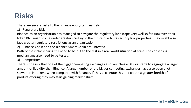# **Risks**

There are several risks to the Binance ecosystem, namely:

1) Regulatory Risk

Binance as an organisation has managed to navigate the regulatory landscape very well so far. However, their token BNB might come under greater scrutiny in the future due to its security link properties. They might also face greater regulatory restrictions as an organisation.

2) Binance Chain and the Binance Smart Chain are untested

Both of their blockchains still need to be put to the test in a real world situation at scale. The consensus mechanisms also need to be tested.

3) Competitors

There is the risk that one of the bigger competing exchanges also launches a DEX or starts to aggregate a larger amount of liquidity than Binance. A large number of the bigger competing exchanges have also been a lot slower to list tokens when compared with Binance, if they accelerate this and create a greater bredth of product offering they may start gaining market share.

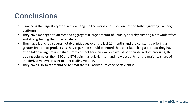## **Conclusions**

- Binance is the largest cryptoassets exchange in the world and is still one of the fastest growing exchange platforms.
- They have managed to attract and aggregate a large amount of liquidity thereby creating a network effect and strengthening their market share.
- They have launched several notable initiatives over the last 12 months and are constantly offering a greater breadth of products as they expand. It should be noted that after launching a product they have often taken a large market share from competitors, an example would be their derivative products, the trading volume on their BTC and ETH pairs has quickly risen and now accounts for the majority share of the derivative cryptoasset market trading volume.
- They have also so far managed to navigate regulatory hurdles very efficiently.

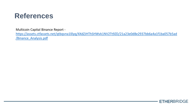

Multicoin Capital Binance Report -

[https://assets.ctfassets.net/qtbqvna1l0yq/4XdZJHThSHWvk1NV2Tt9ZD/21a23e0d8e2937bb6a4a1f1ba057b5ad](https://assets.ctfassets.net/qtbqvna1l0yq/4XdZJHThSHWvk1NV2Tt9ZD/21a23e0d8e2937bb6a4a1f1ba057b5ad/Binance_Analysis.pdf) /Binance\_Analysis.pdf